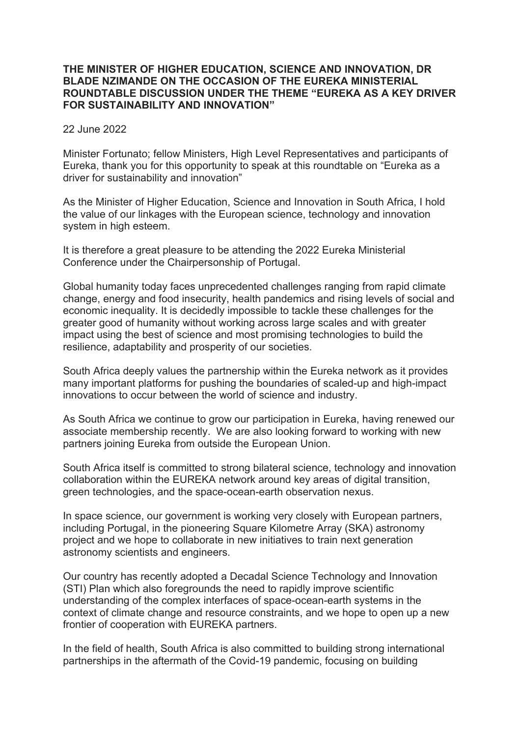## **THE MINISTER OF HIGHER EDUCATION, SCIENCE AND INNOVATION, DR BLADE NZIMANDE ON THE OCCASION OF THE EUREKA MINISTERIAL ROUNDTABLE DISCUSSION UNDER THE THEME "EUREKA AS A KEY DRIVER FOR SUSTAINABILITY AND INNOVATION"**

## 22 June 2022

Minister Fortunato; fellow Ministers, High Level Representatives and participants of Eureka, thank you for this opportunity to speak at this roundtable on "Eureka as a driver for sustainability and innovation"

As the Minister of Higher Education, Science and Innovation in South Africa, I hold the value of our linkages with the European science, technology and innovation system in high esteem.

It is therefore a great pleasure to be attending the 2022 Eureka Ministerial Conference under the Chairpersonship of Portugal.

Global humanity today faces unprecedented challenges ranging from rapid climate change, energy and food insecurity, health pandemics and rising levels of social and economic inequality. It is decidedly impossible to tackle these challenges for the greater good of humanity without working across large scales and with greater impact using the best of science and most promising technologies to build the resilience, adaptability and prosperity of our societies.

South Africa deeply values the partnership within the Eureka network as it provides many important platforms for pushing the boundaries of scaled-up and high-impact innovations to occur between the world of science and industry.

As South Africa we continue to grow our participation in Eureka, having renewed our associate membership recently. We are also looking forward to working with new partners joining Eureka from outside the European Union.

South Africa itself is committed to strong bilateral science, technology and innovation collaboration within the EUREKA network around key areas of digital transition, green technologies, and the space-ocean-earth observation nexus.

In space science, our government is working very closely with European partners, including Portugal, in the pioneering Square Kilometre Array (SKA) astronomy project and we hope to collaborate in new initiatives to train next generation astronomy scientists and engineers.

Our country has recently adopted a Decadal Science Technology and Innovation (STI) Plan which also foregrounds the need to rapidly improve scientific understanding of the complex interfaces of space-ocean-earth systems in the context of climate change and resource constraints, and we hope to open up a new frontier of cooperation with EUREKA partners.

In the field of health, South Africa is also committed to building strong international partnerships in the aftermath of the Covid-19 pandemic, focusing on building